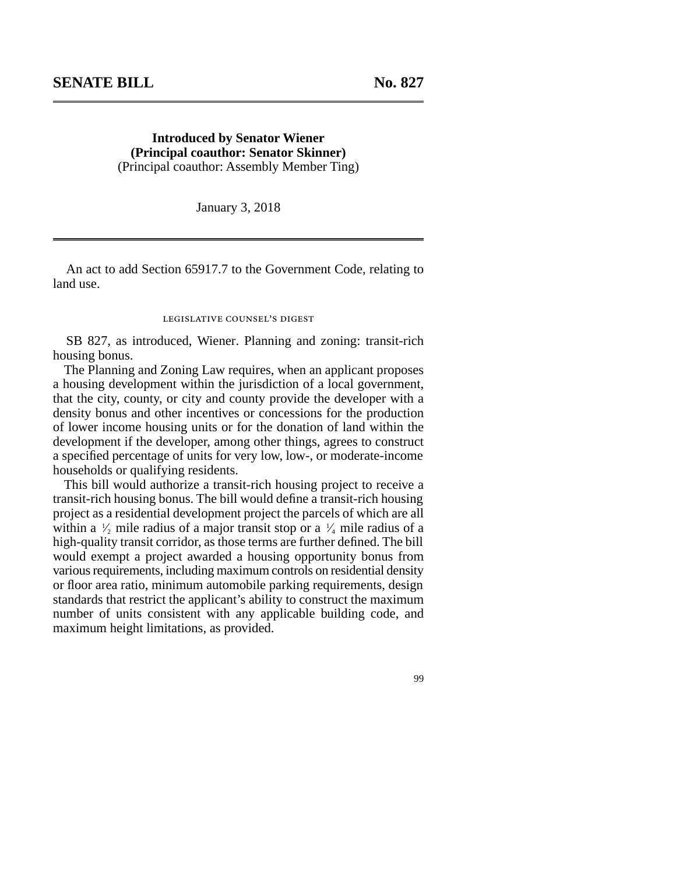**Introduced by Senator Wiener (Principal coauthor: Senator Skinner)** (Principal coauthor: Assembly Member Ting)

January 3, 2018

An act to add Section 65917.7 to the Government Code, relating to land use.

## legislative counsel's digest

SB 827, as introduced, Wiener. Planning and zoning: transit-rich housing bonus.

The Planning and Zoning Law requires, when an applicant proposes a housing development within the jurisdiction of a local government, that the city, county, or city and county provide the developer with a density bonus and other incentives or concessions for the production of lower income housing units or for the donation of land within the development if the developer, among other things, agrees to construct a specified percentage of units for very low, low-, or moderate-income households or qualifying residents.

This bill would authorize a transit-rich housing project to receive a transit-rich housing bonus. The bill would define a transit-rich housing project as a residential development project the parcels of which are all within a  $\frac{1}{2}$  mile radius of a major transit stop or a  $\frac{1}{4}$  mile radius of a high-quality transit corridor, as those terms are further defined. The bill would exempt a project awarded a housing opportunity bonus from various requirements, including maximum controls on residential density or floor area ratio, minimum automobile parking requirements, design standards that restrict the applicant's ability to construct the maximum number of units consistent with any applicable building code, and maximum height limitations, as provided.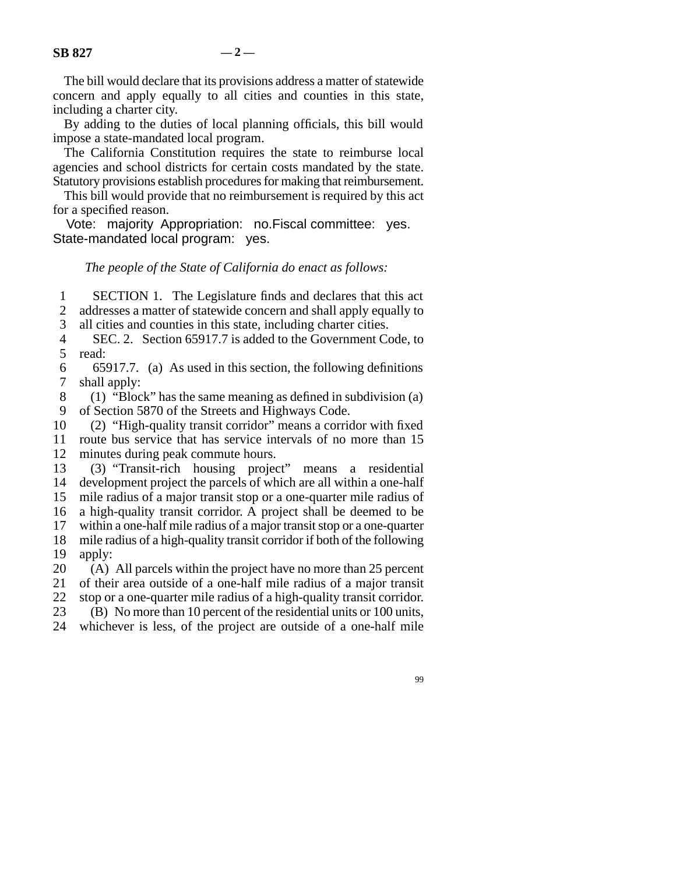The bill would declare that its provisions address a matter of statewide concern and apply equally to all cities and counties in this state, including a charter city.

By adding to the duties of local planning officials, this bill would impose a state-mandated local program.

The California Constitution requires the state to reimburse local agencies and school districts for certain costs mandated by the state. Statutory provisions establish procedures for making that reimbursement.

This bill would provide that no reimbursement is required by this act for a specified reason.

Vote: majority. Appropriation: no. Fiscal committee: yes. State-mandated local program: yes.

## *The people of the State of California do enact as follows:*

1 SECTION 1. The Legislature finds and declares that this act 2 addresses a matter of statewide concern and shall apply equally to

3 all cities and counties in this state, including charter cities.

 line 4 SEC. 2. Section 65917.7 is added to the Government Code, to 5 read:

6 65917.7. (a) As used in this section, the following definitions 7 shall apply:

8 (1) "Block" has the same meaning as defined in subdivision (a) 9 of Section 5870 of the Streets and Highways Code.

10 (2) "High-quality transit corridor" means a corridor with fixed 11 route bus service that has service intervals of no more than 15 12 minutes during peak commute hours.

 line 13 (3) "Transit-rich housing project" means a residential 14 development project the parcels of which are all within a one-half 15 mile radius of a major transit stop or a one-quarter mile radius of 16 a high-quality transit corridor. A project shall be deemed to be

17 within a one-half mile radius of a major transit stop or a one-quarter

18 mile radius of a high-quality transit corridor if both of the following 19 apply:

20 (A) All parcels within the project have no more than 25 percent 21 of their area outside of a one-half mile radius of a major transit 22 stop or a one-quarter mile radius of a high-quality transit corridor. 23 (B) No more than 10 percent of the residential units or 100 units,

24 whichever is less, of the project are outside of a one-half mile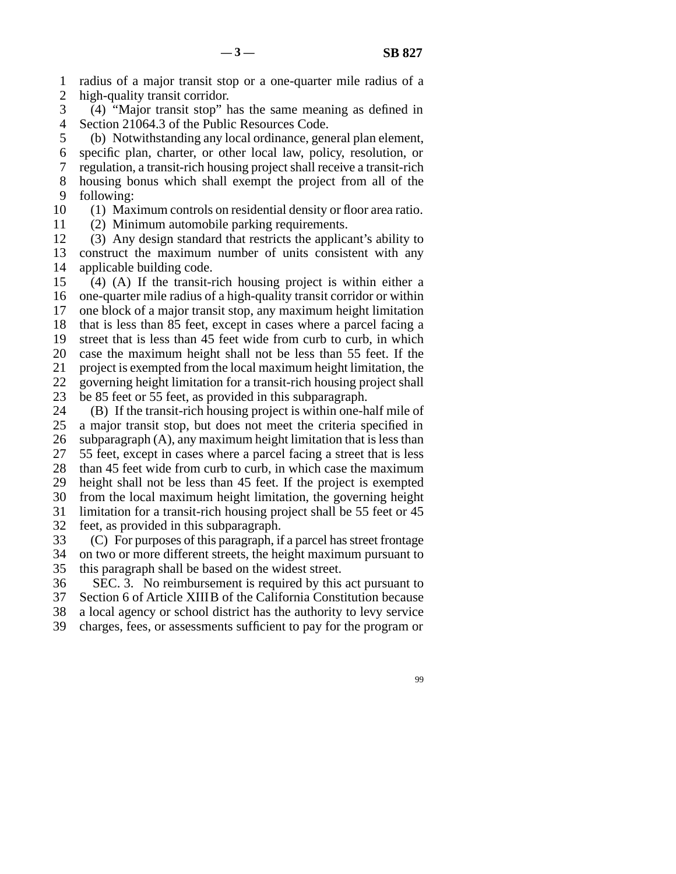line 1 radius of a major transit stop or a one-quarter mile radius of a 2 high-quality transit corridor.

 line 3 (4) "Major transit stop" has the same meaning as defined in 4 Section 21064.3 of the Public Resources Code.

5 (b) Notwithstanding any local ordinance, general plan element, line 6 specific plan, charter, or other local law, policy, resolution, or line 7 regulation, a transit-rich housing project shall receive a transit-rich 8 housing bonus which shall exempt the project from all of the

9 following:

10 (1) Maximum controls on residential density or floor area ratio.

11 (2) Minimum automobile parking requirements.

12 (3) Any design standard that restricts the applicant's ability to 13 construct the maximum number of units consistent with any 14 applicable building code.

 $15$  (4) (A) If the transit-rich housing project is within either a 16 one-quarter mile radius of a high-quality transit corridor or within 17 one block of a major transit stop, any maximum height limitation 18 that is less than 85 feet, except in cases where a parcel facing a 19 street that is less than 45 feet wide from curb to curb, in which 20 case the maximum height shall not be less than 55 feet. If the 21 project is exempted from the local maximum height limitation, the 22 governing height limitation for a transit-rich housing project shall

23 be 85 feet or 55 feet, as provided in this subparagraph.

24 (B) If the transit-rich housing project is within one-half mile of 25 a major transit stop, but does not meet the criteria specified in a major transit stop, but does not meet the criteria specified in 26 subparagraph  $(A)$ , any maximum height limitation that is less than 27 55 feet, except in cases where a parcel facing a street that is less 28 than 45 feet wide from curb to curb, in which case the maximum 29 height shall not be less than 45 feet. If the project is exempted 30 from the local maximum height limitation, the governing height 31 limitation for a transit-rich housing project shall be 55 feet or 45 32 feet, as provided in this subparagraph. 33 (C) For purposes of this paragraph, if a parcel has street frontage

34 on two or more different streets, the height maximum pursuant to 35 this paragraph shall be based on the widest street.

36 SEC. 3. No reimbursement is required by this act pursuant to

37 Section 6 of Article XIIIB of the California Constitution because 38 a local agency or school district has the authority to levy service

39 charges, fees, or assessments sufficient to pay for the program or